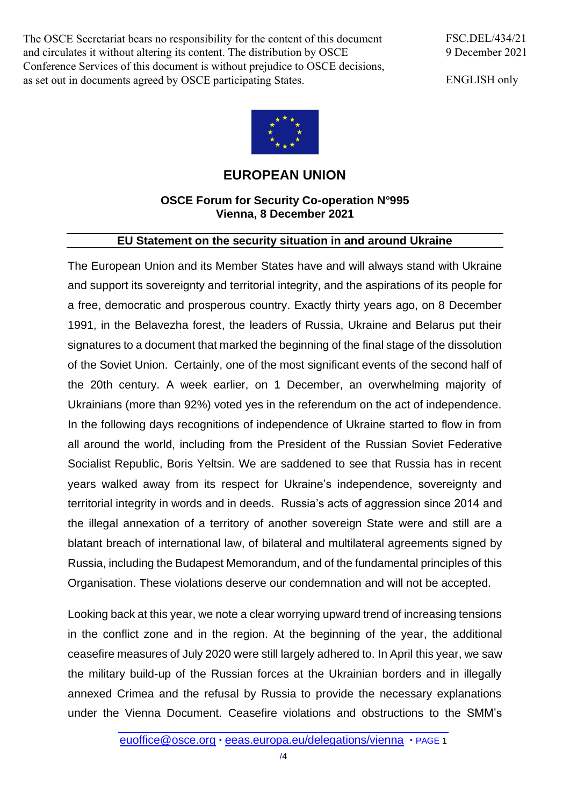The OSCE Secretariat bears no responsibility for the content of this document and circulates it without altering its content. The distribution by OSCE Conference Services of this document is without prejudice to OSCE decisions, as set out in documents agreed by OSCE participating States.

FSC.DEL/434/21 9 December 2021

ENGLISH only



## **EUROPEAN UNION**

## **OSCE Forum for Security Co-operation N°995 Vienna, 8 December 2021**

## **EU Statement on the security situation in and around Ukraine**

The European Union and its Member States have and will always stand with Ukraine and support its sovereignty and territorial integrity, and the aspirations of its people for a free, democratic and prosperous country. Exactly thirty years ago, on 8 December 1991, in the Belavezha forest, the leaders of Russia, Ukraine and Belarus put their signatures to a document that marked the beginning of the final stage of the dissolution of the Soviet Union. Certainly, one of the most significant events of the second half of the 20th century. A week earlier, on 1 December, an overwhelming majority of Ukrainians (more than 92%) voted yes in the referendum on the act of independence. In the following days recognitions of independence of Ukraine started to flow in from all around the world, including from the President of the Russian Soviet Federative Socialist Republic, Boris Yeltsin. We are saddened to see that Russia has in recent years walked away from its respect for Ukraine's independence, sovereignty and territorial integrity in words and in deeds. Russia's acts of aggression since 2014 and the illegal annexation of a territory of another sovereign State were and still are a blatant breach of international law, of bilateral and multilateral agreements signed by Russia, including the Budapest Memorandum, and of the fundamental principles of this Organisation. These violations deserve our condemnation and will not be accepted.

Looking back at this year, we note a clear worrying upward trend of increasing tensions in the conflict zone and in the region. At the beginning of the year, the additional ceasefire measures of July 2020 were still largely adhered to. In April this year, we saw the military build-up of the Russian forces at the Ukrainian borders and in illegally annexed Crimea and the refusal by Russia to provide the necessary explanations under the Vienna Document. Ceasefire violations and obstructions to the SMM's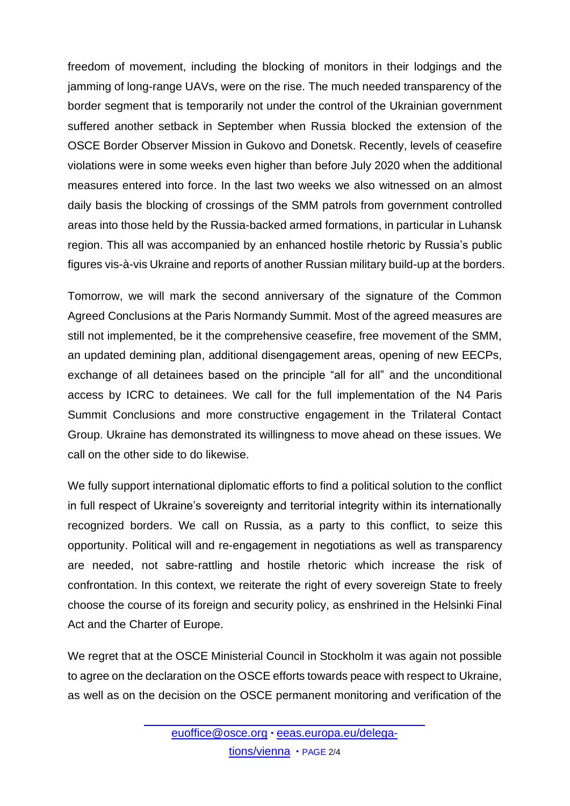freedom of movement, including the blocking of monitors in their lodgings and the jamming of long-range UAVs, were on the rise. The much needed transparency of the border segment that is temporarily not under the control of the Ukrainian government suffered another setback in September when Russia blocked the extension of the OSCE Border Observer Mission in Gukovo and Donetsk. Recently, levels of ceasefire violations were in some weeks even higher than before July 2020 when the additional measures entered into force. In the last two weeks we also witnessed on an almost daily basis the blocking of crossings of the SMM patrols from government controlled areas into those held by the Russia-backed armed formations, in particular in Luhansk region. This all was accompanied by an enhanced hostile rhetoric by Russia's public figures vis-à-vis Ukraine and reports of another Russian military build-up at the borders.

Tomorrow, we will mark the second anniversary of the signature of the Common Agreed Conclusions at the Paris Normandy Summit. Most of the agreed measures are still not implemented, be it the comprehensive ceasefire, free movement of the SMM, an updated demining plan, additional disengagement areas, opening of new EECPs, exchange of all detainees based on the principle "all for all" and the unconditional access by ICRC to detainees. We call for the full implementation of the N4 Paris Summit Conclusions and more constructive engagement in the Trilateral Contact Group. Ukraine has demonstrated its willingness to move ahead on these issues. We call on the other side to do likewise.

We fully support international diplomatic efforts to find a political solution to the conflict in full respect of Ukraine's sovereignty and territorial integrity within its internationally recognized borders. We call on Russia, as a party to this conflict, to seize this opportunity. Political will and re-engagement in negotiations as well as transparency are needed, not sabre-rattling and hostile rhetoric which increase the risk of confrontation. In this context, we reiterate the right of every sovereign State to freely choose the course of its foreign and security policy, as enshrined in the Helsinki Final Act and the Charter of Europe.

We regret that at the OSCE Ministerial Council in Stockholm it was again not possible to agree on the declaration on the OSCE efforts towards peace with respect to Ukraine, as well as on the decision on the OSCE permanent monitoring and verification of the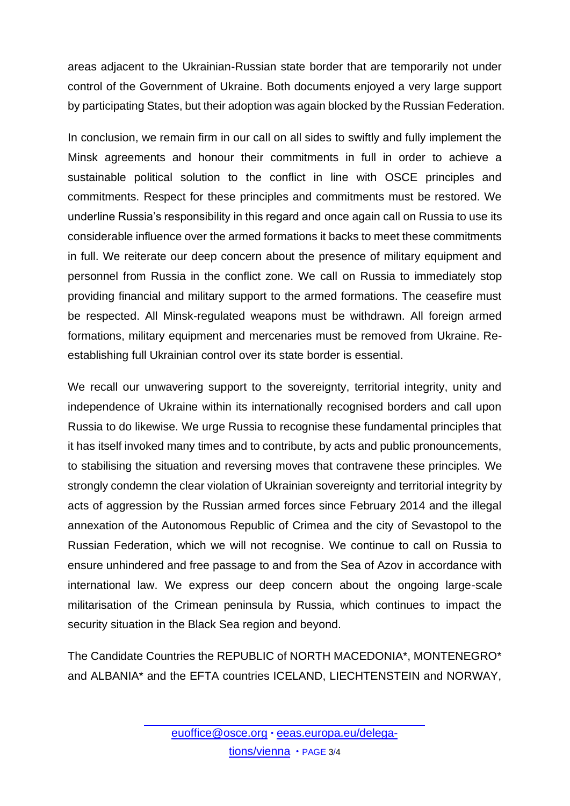areas adjacent to the Ukrainian-Russian state border that are temporarily not under control of the Government of Ukraine. Both documents enjoyed a very large support by participating States, but their adoption was again blocked by the Russian Federation.

In conclusion, we remain firm in our call on all sides to swiftly and fully implement the Minsk agreements and honour their commitments in full in order to achieve a sustainable political solution to the conflict in line with OSCE principles and commitments. Respect for these principles and commitments must be restored. We underline Russia's responsibility in this regard and once again call on Russia to use its considerable influence over the armed formations it backs to meet these commitments in full. We reiterate our deep concern about the presence of military equipment and personnel from Russia in the conflict zone. We call on Russia to immediately stop providing financial and military support to the armed formations. The ceasefire must be respected. All Minsk-regulated weapons must be withdrawn. All foreign armed formations, military equipment and mercenaries must be removed from Ukraine. Reestablishing full Ukrainian control over its state border is essential.

We recall our unwavering support to the sovereignty, territorial integrity, unity and independence of Ukraine within its internationally recognised borders and call upon Russia to do likewise. We urge Russia to recognise these fundamental principles that it has itself invoked many times and to contribute, by acts and public pronouncements, to stabilising the situation and reversing moves that contravene these principles. We strongly condemn the clear violation of Ukrainian sovereignty and territorial integrity by acts of aggression by the Russian armed forces since February 2014 and the illegal annexation of the Autonomous Republic of Crimea and the city of Sevastopol to the Russian Federation, which we will not recognise. We continue to call on Russia to ensure unhindered and free passage to and from the Sea of Azov in accordance with international law. We express our deep concern about the ongoing large-scale militarisation of the Crimean peninsula by Russia, which continues to impact the security situation in the Black Sea region and beyond.

The Candidate Countries the REPUBLIC of NORTH MACEDONIA\*, MONTENEGRO\* and ALBANIA\* and the EFTA countries ICELAND, LIECHTENSTEIN and NORWAY,